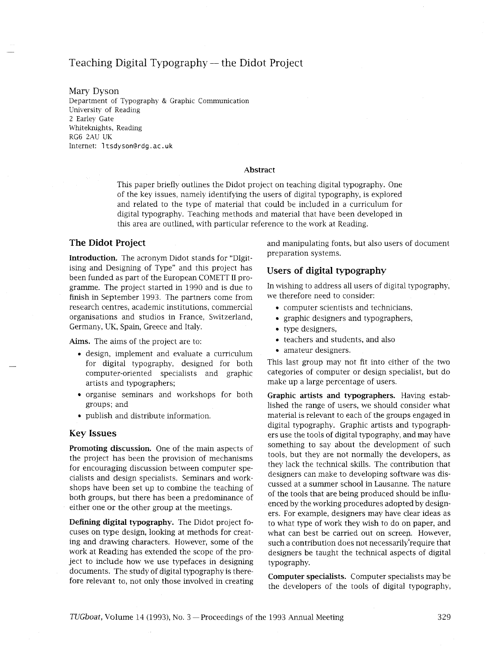# Teaching Digital Typography — the Didot Project

Mary Dyson Department of Typography & Graphic Communication University of Reading 2 Earley Gate Whiteknights, Reading RG6 2AU UK Internet: 1 tsdyson@rdg .ac. **uk** 

#### Abstract

This paper briefly outlines the Didot project on teaching digital typography. One of the key issues, namely identifying the users of digital typography, is explored and related to the type of material that could be included in a curriculum for digital typography. Teaching methods and material that have been developed in this area are outlined, with particular reference to the work at Reading.

### **The Didot Project**

Introduction. The acronym Didot stands for "DIgitising and Designing of Type" and this project has been funded as part of the European COMETT I1 programme. The project started in 1990 and is due to finish in September 1993. The partners come from research centres, academic institutions, commercial organisations and studios in France, Switzerland, Germany, UK, Spain, Greece and Italy.

Aims. The aims of the project are to:

- design, implement and evaluate a curriculum for digital typography, designed for both computer-oriented specialists and graphic artists and typographers;
- organise seminars and workshops for both groups; and
- publish and distribute information.

#### **Key Issues**

Promoting discussion. One of the main aspects of the project has been the provision of mechanisms for encouraging discussion between computer specialists and design specialists. Seminars and workshops have been set up to combine the teaching of both groups, but there has been a predominance of either one or the other group at the meetings.

Defining digital typography. The Didot project focuses on type design, looking at methods for creating and drawing characters. However, some of the work at Reading has extended the scope of the project to include how we use typefaces in designing documents. The study of digital typography is therefore relevant to, not only those involved in creating and manipulating fonts, but also users of document preparation systems.

### **Users of digital typography**

In wishmg to address all users of digital typography, we therefore need to consider:

- computer scientists and technicians,
- graphic designers and typographers,
- type designers,
- teachers and students, and also
- amateur designers.

This last group may not fit into either of the two categories of computer or design specialist, but do make up a large percentage of users.

Graphic artists and typographers. Having established the range of users, we should consider what material is relevant to each of the groups engaged in digital typography. Graphic artists and typographers use the tools of digital typography, and may have something to say about the development of such tools, but they are not normally the developers, as they lack the technical skills. The contribution that designers can make to developing software was discussed at a summer school in Lausanne. The nature of the tools that are being produced should be influenced by the working procedures adopted by designers. For example, designers may have clear ideas as to what type of work they wish to do on paper, and what can best be carried out on screen. However, such a contribution does not necessarily'require that designers be taught the technical aspects of digital typography.

Computer specialists. Computer specialists may be the developers of the tools of digital typography,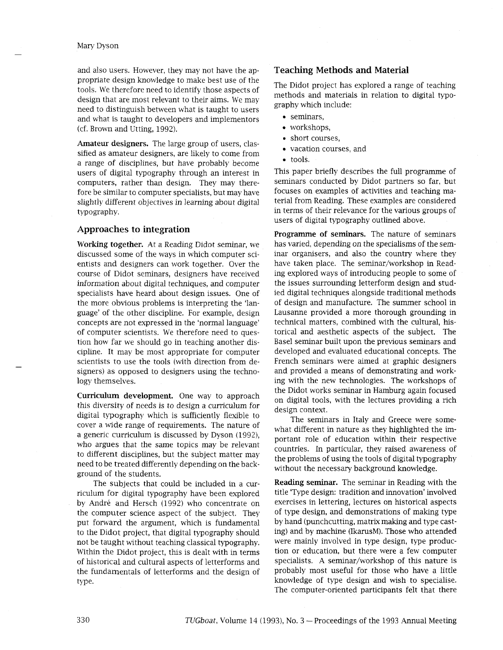and also users. However, they may not have the appropriate design knowledge to make best use of the tools. We therefore need to identify those aspects of design that are most relevant to their aims. We may need to distinguish between what is taught to users and what is taught to developers and implementors (cf. Brown and Utting, 1992).

Amateur designers. The large group of users, classified as amateur designers, are likely to come from a range of disciplines, but have probably become users of digital typography through an interest in computers, rather than design. They may therefore be similar to computer specialists, but may have slightly different objectives in learning about digital typography.

## **Approaches to integration**

Working together. At a Reading Didot seminar, we discussed some of the ways in which computer scientists and designers can work together. Over the course of Didot seminars, designers have received information about digital techniques, and computer specialists have heard about design issues. One of the more obvious problems is interpreting the 'language' of the other discipline. For example, design concepts are not expressed in the 'normal language' of computer scientists. We therefore need to question how far we should go in teaching another discipline. It may be most appropriate for computer scientists to use the tools (with direction from designers) as opposed to designers using the technology themselves.

Curriculum development. One way to approach this diversity of needs is to design a curriculum for digital typography which is sufficiently flexible to cover a wide range of requirements. The nature of a generic curriculum is discussed by Dyson (1992), who argues that the same topics may be relevant to different disciplines, but the subject matter may need to be treated differently depending on the background of the students.

The subjects that could be included in a curriculum for digital typography have been explored by André and Hersch (1992) who concentrate on the computer science aspect of the subject. They put forward the argument, which is fundamental to the Didot project, that digital typography should not be taught without teaching classical typography. Within the Didot project, this is dealt with in terms of historical and cultural aspects of letterforms and the fundamentals of letterforms and the design of type.

## **Teaching Methods and Material**

The Didot project has explored a range of teaching methods and materials in relation to digital typography which include:

- seminars,
- workshops,
- short courses,
- vacation courses, and
- tools.

This paper briefly describes the full programme of seminars conducted by Didot partners so far, but focuses on examples of activities and teaching material from Reading. These examples are considered in terms of their relevance for the various groups of users of digital typography outlined above.

Programme of seminars. The nature of seminars has varied, depending on the specialisms of the seminar organisers, and also the country where they have taken place. The seminar/workshop in Reading explored ways of introducing people to some of the issues surrounding letterform design and studied digital techniques alongside traditional methods of design and manufacture. The summer school in Lausanne provided a more thorough grounding in technical matters, combined with the cultural, historical and aesthetic aspects of the subject. The Base1 seminar built upon the previous seminars and developed and evaluated educational concepts. The French seminars were aimed at graphic designers and provided a means of demonstrating and working with the new technologies. The workshops of the Didot works seminar in Hamburg again focused on digital tools, with the lectures providing a rich design context.

The seminars in Italy and Greece were somewhat different in nature as they highlighted the important role of education within their respective countries. In particular, they raised awareness of the problems of using the tools of digital typography without the necessary background knowledge.

Reading seminar. The seminar in Reading with the title 'Type design: tradition and innovation' involved exercises in lettering, lectures on historical aspects of type design, and demonstrations of making type by hand (punchcutting, matrix making and type casting) and by machine (IkarusM). Those who attended were mainly involved in type design, type production or education, but there were a few computer specialists. A seminar/workshop of this nature is probably most useful for those who have a little knowledge of type design and wish to specialise. The computer-oriented participants felt that there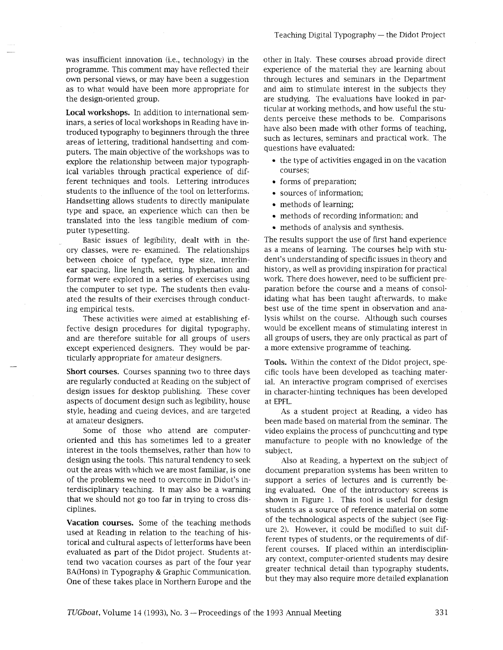was insufficient innovation (i.e., technology) in the programme. This comment may have reflected their own personal views, or may have been a suggestion as to what would have been more appropriate for the design-oriented group.

**Local workshops. In** addition to international seminars, a series of local workshops in Reading have introduced typography to beginners through the three areas of lettering, traditional handsetting and computers. The main objective of the workshops was to explore the relationship between major typographical variables through practical experience of different techniques and tools. Lettering introduces students to the influence of the tool on letterforms. Handsetting allows students to directly manipulate type and space, an experience which can then be translated into the less tangible medium of computer typesetting.

Basic issues of legibility, dealt with in theory classes, were re- examined. The relationships between choice of typeface, type size, interlinear spacing, line length, setting, hyphenation and format were explored in a series of exercises using the computer to set type. The students then evaluated the results of their exercises through conducting empirical tests.

These activities were aimed at establishing effective design procedures for digital typography, and are therefore suitable for all groups of users except experienced designers. They would be particularly appropriate for amateur designers.

**Short courses.** Courses spanning two to three days are regularly conducted at Reading on the subject of design issues for desktop publishing. These cover aspects of document design such as legibility, house style, heading and cueing devices, and are targeted at amateur designers.

Some of those who attend are computeroriented and this has sometimes led to a greater interest in the tools themselves, rather than how to design using the tools. This natural tendency to seek out the areas with which we are most familiar, is one of the problems we need to overcome in Didot's interdisciplinary teaching. It may also be a warning that we should not go too far in trying to cross disciplines.

**Vacation courses.** Some of the teaching methods used at Reading in relation to the teaching of historical and cultural aspects of letterforms have been evaluated as part of the Didot project. Students attend two vacation courses as part of the four year BA(Hons) in Typography & Graphic Communication. One of these takes place in Northern Europe and the other in Italy. These courses abroad provide direct experience of the material they are learning about through lectures and seminars in the Department and aim to stimulate interest in the subjects they are studying. The evaluations have looked in particular at working methods, and how useful the students perceive these methods to be. Comparisons have also been made with other forms of teaching, such as lectures, seminars and practical work. The questions have evaluated:

- the type of activities engaged in on the vacation courses;
- forms of preparation;
- sources of information;
- methods of learning;
- methods of recording information; and
- methods of analysis and synthesis.

The results support the use of first hand experience as a means of learning. The courses help with student's understanding of specific issues in theory and history, as well as providing inspiration for practical work. There does however, need to be sufficient preparation before the course and a means of consolidating what has been taught afterwards, to make best use of the time spent in observation and analysis whlst on the course. Although such courses would be excellent means of stimulating interest in all groups of users, they are only practical as part of a more extensive programme of teaching.

**Tools.** Within the context of the Didot project, specific tools have been developed as teaching material. An interactive program comprised of exercises in character-hinting techniques has been developed at EPFL.

As a student project at Reading, a video has been made based on material from the seminar. The video explains the process of punchcutting and type manufacture to people with no knowledge of the subject.

Also at Reading, a hypertext on the subject of document preparation systems has been written to support a series of lectures and is currently being evaluated. One of the introductory screens is shown in Figure 1. This tool is useful for design students as a source of reference material on some of the technological aspects of the subject (see Figure 2). However, it could be modified to suit different types of students, or the requirements of different courses. If placed within an interdisciplinary context, computer-oriented students may desire greater technical detail than typography students, but they may also require more detailed explanation